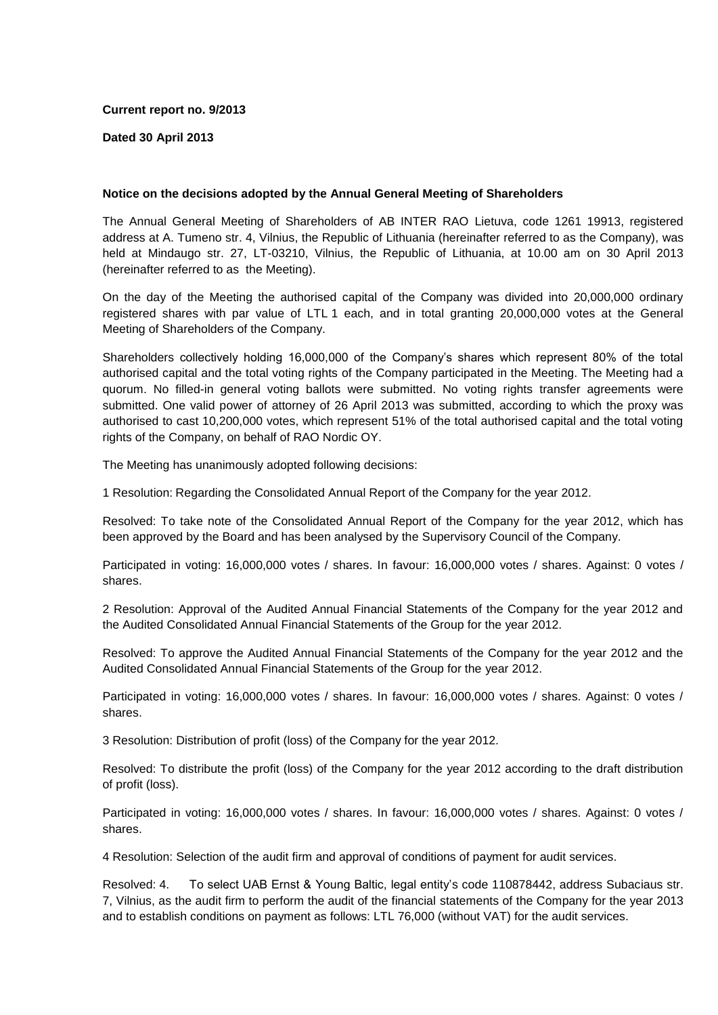### **Current report no. 9/2013**

### **Dated 30 April 2013**

# **Notice on the decisions adopted by the Annual General Meeting of Shareholders**

The Annual General Meeting of Shareholders of AB INTER RAO Lietuva, code 1261 19913, registered address at A. Tumeno str. 4, Vilnius, the Republic of Lithuania (hereinafter referred to as the Company), was held at Mindaugo str. 27, LT-03210, Vilnius, the Republic of Lithuania, at 10.00 am on 30 April 2013 (hereinafter referred to as the Meeting).

On the day of the Meeting the authorised capital of the Company was divided into 20,000,000 ordinary registered shares with par value of LTL 1 each, and in total granting 20,000,000 votes at the General Meeting of Shareholders of the Company.

Shareholders collectively holding 16,000,000 of the Company's shares which represent 80% of the total authorised capital and the total voting rights of the Company participated in the Meeting. The Meeting had a quorum. No filled-in general voting ballots were submitted. No voting rights transfer agreements were submitted. One valid power of attorney of 26 April 2013 was submitted, according to which the proxy was authorised to cast 10,200,000 votes, which represent 51% of the total authorised capital and the total voting rights of the Company, on behalf of RAO Nordic OY.

The Meeting has unanimously adopted following decisions:

1 Resolution: Regarding the Consolidated Annual Report of the Company for the year 2012.

Resolved: To take note of the Consolidated Annual Report of the Company for the year 2012, which has been approved by the Board and has been analysed by the Supervisory Council of the Company.

Participated in voting: 16,000,000 votes / shares. In favour: 16,000,000 votes / shares. Against: 0 votes / shares.

2 Resolution: Approval of the Audited Annual Financial Statements of the Company for the year 2012 and the Audited Consolidated Annual Financial Statements of the Group for the year 2012.

Resolved: To approve the Audited Annual Financial Statements of the Company for the year 2012 and the Audited Consolidated Annual Financial Statements of the Group for the year 2012.

Participated in voting: 16,000,000 votes / shares. In favour: 16,000,000 votes / shares. Against: 0 votes / shares.

3 Resolution: Distribution of profit (loss) of the Company for the year 2012.

Resolved: To distribute the profit (loss) of the Company for the year 2012 according to the draft distribution of profit (loss).

Participated in voting: 16,000,000 votes / shares. In favour: 16,000,000 votes / shares. Against: 0 votes / shares.

4 Resolution: Selection of the audit firm and approval of conditions of payment for audit services.

Resolved: 4. To select UAB Ernst & Young Baltic, legal entity's code 110878442, address Subaciaus str. 7, Vilnius, as the audit firm to perform the audit of the financial statements of the Company for the year 2013 and to establish conditions on payment as follows: LTL 76,000 (without VAT) for the audit services.